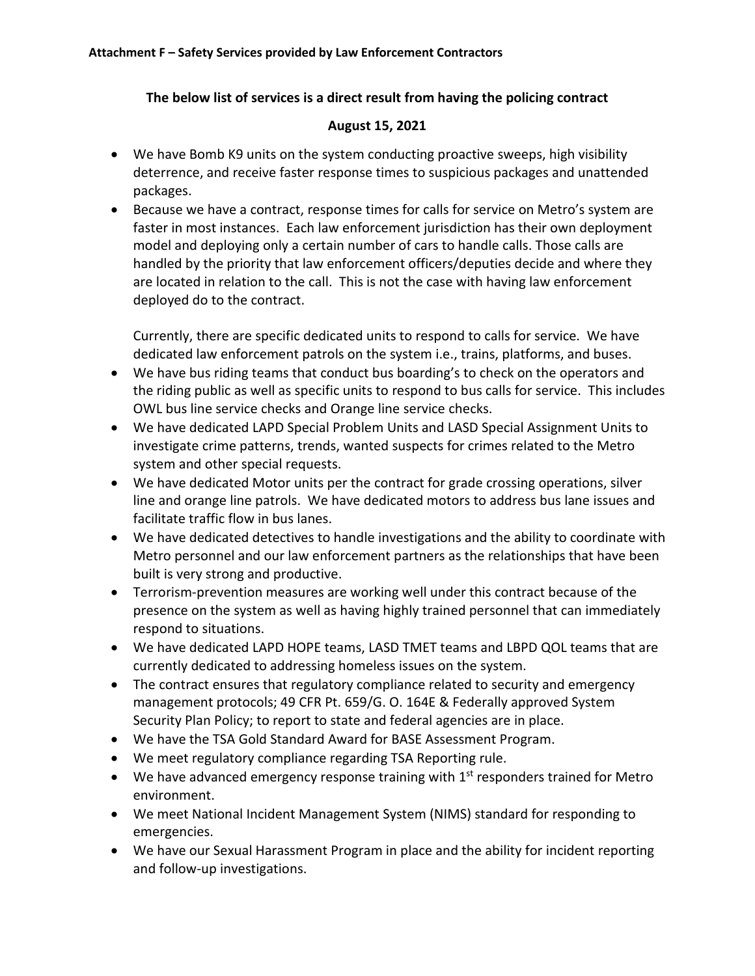## The below list of services is a direct result from having the policing contract

## **August 15, 2021**

- We have Bomb K9 units on the system conducting proactive sweeps, high visibility deterrence, and receive faster response times to suspicious packages and unattended packages.
- Because we have a contract, response times for calls for service on Metro's system are faster in most instances. Each law enforcement jurisdiction has their own deployment model and deploying only a certain number of cars to handle calls. Those calls are handled by the priority that law enforcement officers/deputies decide and where they are located in relation to the call. This is not the case with having law enforcement deployed do to the contract.

Currently, there are specific dedicated units to respond to calls for service. We have dedicated law enforcement patrols on the system i.e., trains, platforms, and buses.

- We have bus riding teams that conduct bus boarding's to check on the operators and the riding public as well as specific units to respond to bus calls for service. This includes OWL bus line service checks and Orange line service checks.
- We have dedicated LAPD Special Problem Units and LASD Special Assignment Units to investigate crime patterns, trends, wanted suspects for crimes related to the Metro system and other special requests.
- We have dedicated Motor units per the contract for grade crossing operations, silver line and orange line patrols. We have dedicated motors to address bus lane issues and facilitate traffic flow in bus lanes.
- We have dedicated detectives to handle investigations and the ability to coordinate with Metro personnel and our law enforcement partners as the relationships that have been built is very strong and productive.
- Terrorism-prevention measures are working well under this contract because of the presence on the system as well as having highly trained personnel that can immediately respond to situations.
- We have dedicated LAPD HOPE teams, LASD TMET teams and LBPD QOL teams that are currently dedicated to addressing homeless issues on the system.
- The contract ensures that regulatory compliance related to security and emergency management protocols; 49 CFR Pt. 659/G. O. 164E & Federally approved System Security Plan Policy; to report to state and federal agencies are in place.
- We have the TSA Gold Standard Award for BASE Assessment Program.
- We meet regulatory compliance regarding TSA Reporting rule.
- We have advanced emergency response training with  $1<sup>st</sup>$  responders trained for Metro environment.
- We meet National Incident Management System (NIMS) standard for responding to emergencies.
- We have our Sexual Harassment Program in place and the ability for incident reporting and follow-up investigations.